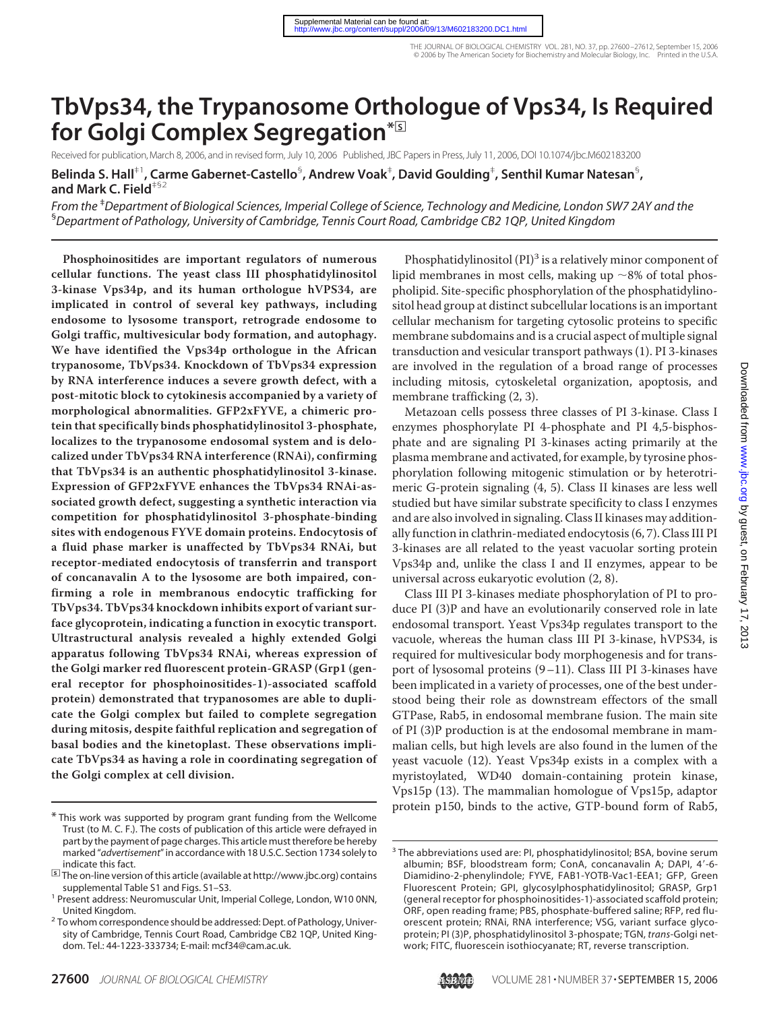# Downloaded from www.jbc.org by guest, on February 17, 2013 by guest, on February 17, 2013 [www.jbc.org](http://www.jbc.org/) Downloaded from

# **TbVps34, the Trypanosome Orthologue of Vps34, Is Required** for Golgi Complex Segregation<sup>\*</sup>

Received for publication, March 8, 2006, and in revised form, July 10, 2006 Published, JBC Papers in Press, July 11, 2006, DOI 10.1074/jbc.M602183200

**Belinda S. Hall**‡1**, Carme Gabernet-Castello**§ **, Andrew Voak**‡ **, David Goulding**‡ **, Senthil Kumar Natesan**§ **, and Mark C. Field**‡§2

*From the* ‡ *Department of Biological Sciences, Imperial College of Science, Technology and Medicine, London SW7 2AY and the* § *Department of Pathology, University of Cambridge, Tennis Court Road, Cambridge CB2 1QP, United Kingdom*

**Phosphoinositides are important regulators of numerous cellular functions. The yeast class III phosphatidylinositol 3-kinase Vps34p, and its human orthologue hVPS34, are implicated in control of several key pathways, including endosome to lysosome transport, retrograde endosome to Golgi traffic, multivesicular body formation, and autophagy. We have identified the Vps34p orthologue in the African trypanosome, TbVps34. Knockdown of TbVps34 expression by RNA interference induces a severe growth defect, with a post-mitotic block to cytokinesis accompanied by a variety of morphological abnormalities. GFP2xFYVE, a chimeric protein that specifically binds phosphatidylinositol 3-phosphate, localizes to the trypanosome endosomal system and is delocalized under TbVps34 RNA interference (RNAi), confirming that TbVps34 is an authentic phosphatidylinositol 3-kinase. Expression of GFP2xFYVE enhances the TbVps34 RNAi-associated growth defect, suggesting a synthetic interaction via competition for phosphatidylinositol 3-phosphate-binding sites with endogenous FYVE domain proteins. Endocytosis of a fluid phase marker is unaffected by TbVps34 RNAi, but receptor-mediated endocytosis of transferrin and transport of concanavalin A to the lysosome are both impaired, confirming a role in membranous endocytic trafficking for TbVps34. TbVps34 knockdown inhibits export of variant surface glycoprotein, indicating a function in exocytic transport. Ultrastructural analysis revealed a highly extended Golgi apparatus following TbVps34 RNAi, whereas expression of the Golgi marker red fluorescent protein-GRASP (Grp1 (general receptor for phosphoinositides-1)-associated scaffold protein) demonstrated that trypanosomes are able to duplicate the Golgi complex but failed to complete segregation during mitosis, despite faithful replication and segregation of basal bodies and the kinetoplast. These observations implicate TbVps34 as having a role in coordinating segregation of the Golgi complex at cell division.**

Phosphatidylinositol  $(PI)^3$  is a relatively minor component of lipid membranes in most cells, making up  $\sim$ 8% of total phospholipid. Site-specific phosphorylation of the phosphatidylinositol head group at distinct subcellular locations is an important cellular mechanism for targeting cytosolic proteins to specific membrane subdomains and is a crucial aspect of multiple signal transduction and vesicular transport pathways (1). PI 3-kinases are involved in the regulation of a broad range of processes including mitosis, cytoskeletal organization, apoptosis, and membrane trafficking (2, 3).

Metazoan cells possess three classes of PI 3-kinase. Class I enzymes phosphorylate PI 4-phosphate and PI 4,5-bisphosphate and are signaling PI 3-kinases acting primarily at the plasma membrane and activated, for example, by tyrosine phosphorylation following mitogenic stimulation or by heterotrimeric G-protein signaling (4, 5). Class II kinases are less well studied but have similar substrate specificity to class I enzymes and are also involved in signaling. Class II kinases may additionally function in clathrin-mediated endocytosis (6, 7). Class III PI 3-kinases are all related to the yeast vacuolar sorting protein Vps34p and, unlike the class I and II enzymes, appear to be universal across eukaryotic evolution (2, 8).

Class III PI 3-kinases mediate phosphorylation of PI to produce PI (3)P and have an evolutionarily conserved role in late endosomal transport. Yeast Vps34p regulates transport to the vacuole, whereas the human class III PI 3-kinase, hVPS34, is required for multivesicular body morphogenesis and for transport of lysosomal proteins (9–11). Class III PI 3-kinases have been implicated in a variety of processes, one of the best understood being their role as downstream effectors of the small GTPase, Rab5, in endosomal membrane fusion. The main site of PI (3)P production is at the endosomal membrane in mammalian cells, but high levels are also found in the lumen of the yeast vacuole (12). Yeast Vps34p exists in a complex with a myristoylated, WD40 domain-containing protein kinase, Vps15p (13). The mammalian homologue of Vps15p, adaptor



protein p150, binds to the active, GTP-bound form of Rab5,<br>\*This work was supported by program grant funding from the Wellcome Trust (to M. C. F.). The costs of publication of this article were defrayed in part by the payment of page charges. This article must therefore be hereby marked "*advertisement*" in accordance with 18 U.S.C. Section 1734 solely to indicate this fact.

<sup>□</sup>**<sup>S</sup>** The on-line version of this article (available at http://www.jbc.org) contains

<sup>&</sup>lt;sup>1</sup> Present address: Neuromuscular Unit, Imperial College, London, W10 0NN,

United Kingdom.<br><sup>2</sup> To whom correspondence should be addressed: Dept. of Pathology, University of Cambridge, Tennis Court Road, Cambridge CB2 1QP, United Kingdom. Tel.: 44-1223-333734; E-mail: mcf34@cam.ac.uk.

<sup>&</sup>lt;sup>3</sup> The abbreviations used are: PI, phosphatidylinositol; BSA, bovine serum albumin; BSF, bloodstream form; ConA, concanavalin A; DAPI, 4'-6-Diamidino-2-phenylindole; FYVE, FAB1-YOTB-Vac1-EEA1; GFP, Green Fluorescent Protein; GPI, glycosylphosphatidylinositol; GRASP, Grp1 (general receptor for phosphoinositides-1)-associated scaffold protein; ORF, open reading frame; PBS, phosphate-buffered saline; RFP, red fluorescent protein; RNAi, RNA interference; VSG, variant surface glycoprotein; PI (3)P, phosphatidylinositol 3-phospate; TGN, *trans*-Golgi network; FITC, fluorescein isothiocyanate; RT, reverse transcription.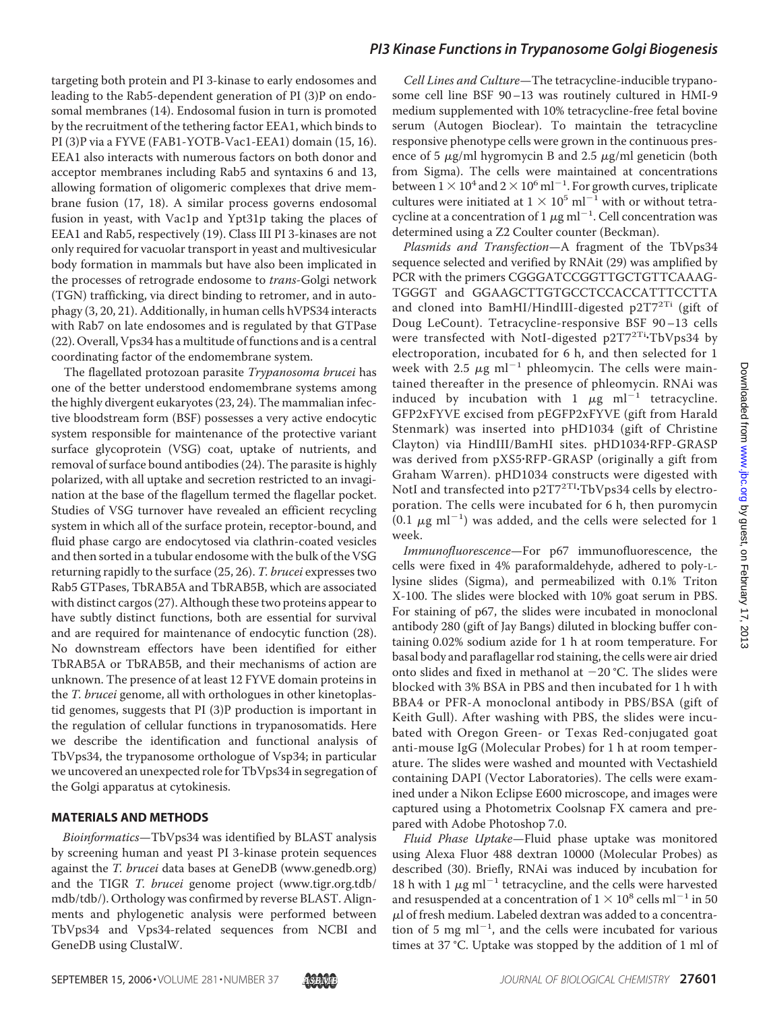targeting both protein and PI 3-kinase to early endosomes and leading to the Rab5-dependent generation of PI (3)P on endosomal membranes (14). Endosomal fusion in turn is promoted by the recruitment of the tethering factor EEA1, which binds to PI (3)P via a FYVE (FAB1-YOTB-Vac1-EEA1) domain (15, 16). EEA1 also interacts with numerous factors on both donor and acceptor membranes including Rab5 and syntaxins 6 and 13, allowing formation of oligomeric complexes that drive membrane fusion (17, 18). A similar process governs endosomal fusion in yeast, with Vac1p and Ypt31p taking the places of EEA1 and Rab5, respectively (19). Class III PI 3-kinases are not only required for vacuolar transport in yeast and multivesicular body formation in mammals but have also been implicated in the processes of retrograde endosome to *trans*-Golgi network (TGN) trafficking, via direct binding to retromer, and in autophagy (3, 20, 21). Additionally, in human cells hVPS34 interacts with Rab7 on late endosomes and is regulated by that GTPase (22). Overall, Vps34 has a multitude of functions and is a central coordinating factor of the endomembrane system.

The flagellated protozoan parasite *Trypanosoma brucei* has one of the better understood endomembrane systems among the highly divergent eukaryotes (23, 24). The mammalian infective bloodstream form (BSF) possesses a very active endocytic system responsible for maintenance of the protective variant surface glycoprotein (VSG) coat, uptake of nutrients, and removal of surface bound antibodies (24). The parasite is highly polarized, with all uptake and secretion restricted to an invagination at the base of the flagellum termed the flagellar pocket. Studies of VSG turnover have revealed an efficient recycling system in which all of the surface protein, receptor-bound, and fluid phase cargo are endocytosed via clathrin-coated vesicles and then sorted in a tubular endosome with the bulk of the VSG returning rapidly to the surface (25, 26). *T. brucei* expresses two Rab5 GTPases, TbRAB5A and TbRAB5B, which are associated with distinct cargos (27). Although these two proteins appear to have subtly distinct functions, both are essential for survival and are required for maintenance of endocytic function (28). No downstream effectors have been identified for either TbRAB5A or TbRAB5B, and their mechanisms of action are unknown. The presence of at least 12 FYVE domain proteins in the *T. brucei* genome, all with orthologues in other kinetoplastid genomes, suggests that PI (3)P production is important in the regulation of cellular functions in trypanosomatids. Here we describe the identification and functional analysis of TbVps34, the trypanosome orthologue of Vsp34; in particular we uncovered an unexpected role for TbVps34 in segregation of the Golgi apparatus at cytokinesis.

### **MATERIALS AND METHODS**

*Bioinformatics*—TbVps34 was identified by BLAST analysis by screening human and yeast PI 3-kinase protein sequences against the *T. brucei* data bases at GeneDB (www.genedb.org) and the TIGR *T. brucei* genome project (www.tigr.org.tdb/ mdb/tdb/). Orthology was confirmed by reverse BLAST. Alignments and phylogenetic analysis were performed between TbVps34 and Vps34-related sequences from NCBI and GeneDB using ClustalW.

*Cell Lines and Culture*—The tetracycline-inducible trypanosome cell line BSF 90–13 was routinely cultured in HMI-9 medium supplemented with 10% tetracycline-free fetal bovine serum (Autogen Bioclear). To maintain the tetracycline responsive phenotype cells were grown in the continuous presence of 5  $\mu$ g/ml hygromycin B and 2.5  $\mu$ g/ml geneticin (both from Sigma). The cells were maintained at concentrations between  $1 \times 10^4$  and  $2 \times 10^6$  ml<sup>-1</sup>. For growth curves, triplicate cultures were initiated at  $1 \times 10^5$  ml<sup>-1</sup> with or without tetracycline at a concentration of 1  $\mu$ g ml<sup>-1</sup>. Cell concentration was determined using a Z2 Coulter counter (Beckman).

*Plasmids and Transfection*—A fragment of the TbVps34 sequence selected and verified by RNAit (29) was amplified by PCR with the primers CGGGATCCGGTTGCTGTTCAAAG-TGGGT and GGAAGCTTGTGCCTCCACCATTTCCTTA and cloned into BamHI/HindIII-digested p2T7<sup>2Ti</sup> (gift of Doug LeCount). Tetracycline-responsive BSF 90–13 cells were transfected with NotI-digested p2T7<sup>2Ti</sup>·TbVps34 by electroporation, incubated for 6 h, and then selected for 1 week with 2.5  $\mu$ g ml<sup>-1</sup> phleomycin. The cells were maintained thereafter in the presence of phleomycin. RNAi was induced by incubation with 1  $\mu$ g ml<sup>-1</sup> tetracycline. GFP2xFYVE excised from pEGFP2xFYVE (gift from Harald Stenmark) was inserted into pHD1034 (gift of Christine Clayton) via HindIII/BamHI sites. pHD1034-RFP-GRASP was derived from pXS5-RFP-GRASP (originally a gift from Graham Warren). pHD1034 constructs were digested with NotI and transfected into p2T7<sup>2TI</sup>·TbVps34 cells by electroporation. The cells were incubated for 6 h, then puromycin  $(0.1 \ \mu g \ m l^{-1})$  was added, and the cells were selected for 1 week.

*Immunofluorescence*—For p67 immunofluorescence, the cells were fixed in 4% paraformaldehyde, adhered to poly-Llysine slides (Sigma), and permeabilized with 0.1% Triton X-100. The slides were blocked with 10% goat serum in PBS. For staining of p67, the slides were incubated in monoclonal antibody 280 (gift of Jay Bangs) diluted in blocking buffer containing 0.02% sodium azide for 1 h at room temperature. For basal body and paraflagellar rod staining, the cells were air dried onto slides and fixed in methanol at  $-20$  °C. The slides were blocked with 3% BSA in PBS and then incubated for 1 h with BBA4 or PFR-A monoclonal antibody in PBS/BSA (gift of Keith Gull). After washing with PBS, the slides were incubated with Oregon Green- or Texas Red-conjugated goat anti-mouse IgG (Molecular Probes) for 1 h at room temperature. The slides were washed and mounted with Vectashield containing DAPI (Vector Laboratories). The cells were examined under a Nikon Eclipse E600 microscope, and images were captured using a Photometrix Coolsnap FX camera and prepared with Adobe Photoshop 7.0.

*Fluid Phase Uptake*—Fluid phase uptake was monitored using Alexa Fluor 488 dextran 10000 (Molecular Probes) as described (30). Briefly, RNAi was induced by incubation for 18 h with 1  $\mu$ g ml<sup>-1</sup> tetracycline, and the cells were harvested and resuspended at a concentration of  $1 \times 10^8$  cells ml<sup>-1</sup> in 50  $\mu$ l of fresh medium. Labeled dextran was added to a concentration of 5 mg  $ml^{-1}$ , and the cells were incubated for various times at 37 °C. Uptake was stopped by the addition of 1 ml of

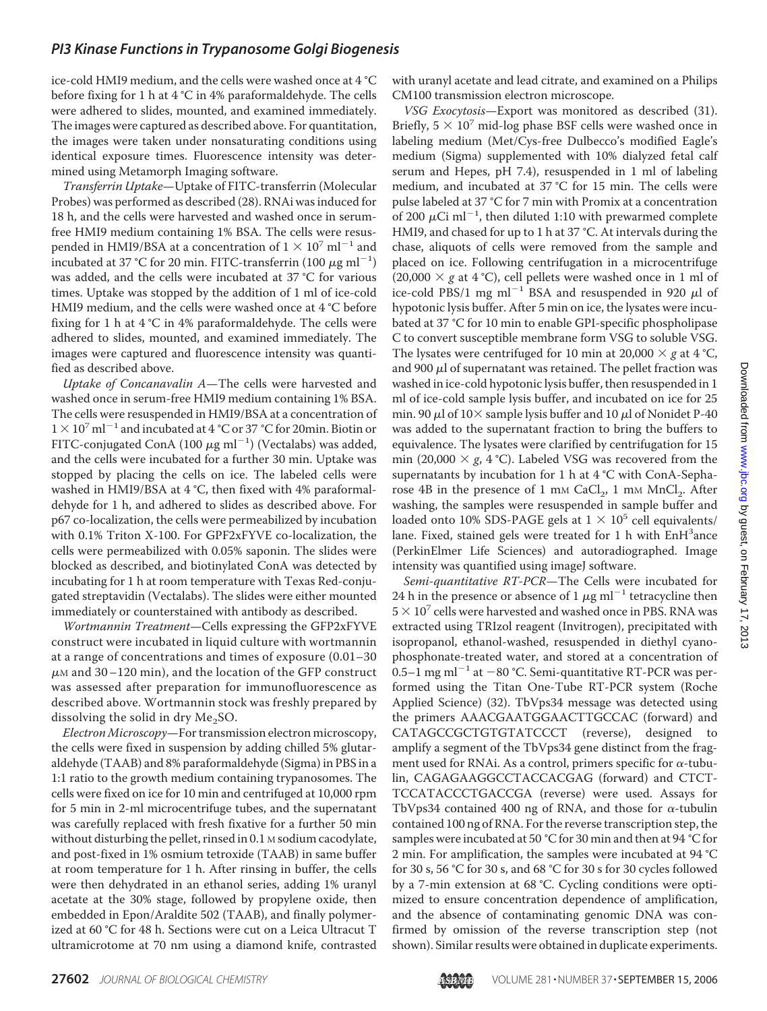ice-cold HMI9 medium, and the cells were washed once at 4 °C before fixing for 1 h at 4 °C in 4% paraformaldehyde. The cells were adhered to slides, mounted, and examined immediately. The images were captured as described above. For quantitation, the images were taken under nonsaturating conditions using identical exposure times. Fluorescence intensity was determined using Metamorph Imaging software.

*Transferrin Uptake*—Uptake of FITC-transferrin (Molecular Probes) was performed as described (28). RNAi was induced for 18 h, and the cells were harvested and washed once in serumfree HMI9 medium containing 1% BSA. The cells were resuspended in HMI9/BSA at a concentration of  $1 \times 10^7$  ml<sup>-1</sup> and incubated at 37 °C for 20 min. FITC-transferrin (100  $\mu$ g ml<sup>-1</sup>) was added, and the cells were incubated at 37 °C for various times. Uptake was stopped by the addition of 1 ml of ice-cold HMI9 medium, and the cells were washed once at 4 °C before fixing for 1 h at 4 °C in 4% paraformaldehyde. The cells were adhered to slides, mounted, and examined immediately. The images were captured and fluorescence intensity was quantified as described above.

*Uptake of Concanavalin A*—The cells were harvested and washed once in serum-free HMI9 medium containing 1% BSA. The cells were resuspended in HMI9/BSA at a concentration of  $1 \times 10^{7}$  ml<sup>-1</sup> and incubated at 4 °C or 37 °C for 20min. Biotin or FITC-conjugated ConA (100  $\mu$ g ml<sup>-1</sup>) (Vectalabs) was added, and the cells were incubated for a further 30 min. Uptake was stopped by placing the cells on ice. The labeled cells were washed in HMI9/BSA at 4 °C, then fixed with 4% paraformaldehyde for 1 h, and adhered to slides as described above. For p67 co-localization, the cells were permeabilized by incubation with 0.1% Triton X-100. For GPF2xFYVE co-localization, the cells were permeabilized with 0.05% saponin. The slides were blocked as described, and biotinylated ConA was detected by incubating for 1 h at room temperature with Texas Red-conjugated streptavidin (Vectalabs). The slides were either mounted immediately or counterstained with antibody as described.

*Wortmannin Treatment*—Cells expressing the GFP2xFYVE construct were incubated in liquid culture with wortmannin at a range of concentrations and times of exposure (0.01–30  $\mu$ M and 30–120 min), and the location of the GFP construct was assessed after preparation for immunofluorescence as described above. Wortmannin stock was freshly prepared by dissolving the solid in dry  $Me<sub>2</sub>SO$ .

*Electron Microscopy*—For transmission electron microscopy, the cells were fixed in suspension by adding chilled 5% glutaraldehyde (TAAB) and 8% paraformaldehyde (Sigma) in PBS in a 1:1 ratio to the growth medium containing trypanosomes. The cells were fixed on ice for 10 min and centrifuged at 10,000 rpm for 5 min in 2-ml microcentrifuge tubes, and the supernatant was carefully replaced with fresh fixative for a further 50 min without disturbing the pellet, rinsed in 0.1 M sodium cacodylate, and post-fixed in 1% osmium tetroxide (TAAB) in same buffer at room temperature for 1 h. After rinsing in buffer, the cells were then dehydrated in an ethanol series, adding 1% uranyl acetate at the 30% stage, followed by propylene oxide, then embedded in Epon/Araldite 502 (TAAB), and finally polymerized at 60 °C for 48 h. Sections were cut on a Leica Ultracut T ultramicrotome at 70 nm using a diamond knife, contrasted

with uranyl acetate and lead citrate, and examined on a Philips CM100 transmission electron microscope.

*VSG Exocytosis*—Export was monitored as described (31). Briefly,  $5 \times 10^7$  mid-log phase BSF cells were washed once in labeling medium (Met/Cys-free Dulbecco's modified Eagle's medium (Sigma) supplemented with 10% dialyzed fetal calf serum and Hepes, pH 7.4), resuspended in 1 ml of labeling medium, and incubated at 37 °C for 15 min. The cells were pulse labeled at 37 °C for 7 min with Promix at a concentration of 200  $\mu$ Ci ml<sup>-1</sup>, then diluted 1:10 with prewarmed complete HMI9, and chased for up to 1 h at 37 °C. At intervals during the chase, aliquots of cells were removed from the sample and placed on ice. Following centrifugation in a microcentrifuge (20,000  $\times$  *g* at 4 °C), cell pellets were washed once in 1 ml of ice-cold PBS/1 mg  $ml^{-1}$  BSA and resuspended in 920  $\mu$ l of hypotonic lysis buffer. After 5 min on ice, the lysates were incubated at 37 °C for 10 min to enable GPI-specific phospholipase C to convert susceptible membrane form VSG to soluble VSG. The lysates were centrifuged for 10 min at 20,000  $\times$  *g* at 4 °C, and 900  $\mu$ l of supernatant was retained. The pellet fraction was washed in ice-cold hypotonic lysis buffer, then resuspended in 1 ml of ice-cold sample lysis buffer, and incubated on ice for 25 min. 90  $\mu$ l of 10 $\times$  sample lysis buffer and 10  $\mu$ l of Nonidet P-40 was added to the supernatant fraction to bring the buffers to equivalence. The lysates were clarified by centrifugation for 15 min (20,000  $\times$  *g*, 4 °C). Labeled VSG was recovered from the supernatants by incubation for 1 h at 4 °C with ConA-Sepharose 4B in the presence of 1 mm CaCl<sub>2</sub>, 1 mm MnCl<sub>2</sub>. After washing, the samples were resuspended in sample buffer and loaded onto 10% SDS-PAGE gels at  $1 \times 10^5$  cell equivalents/ lane. Fixed, stained gels were treated for 1 h with EnH<sup>3</sup>ance (PerkinElmer Life Sciences) and autoradiographed. Image intensity was quantified using imageJ software.

*Semi-quantitative RT-PCR*—The Cells were incubated for 24 h in the presence or absence of 1  $\mu$ g ml<sup>-1</sup> tetracycline then  $5 \times 10^7$  cells were harvested and washed once in PBS. RNA was extracted using TRIzol reagent (Invitrogen), precipitated with isopropanol, ethanol-washed, resuspended in diethyl cyanophosphonate-treated water, and stored at a concentration of 0.5–1 mg ml<sup>-1</sup> at -80 °C. Semi-quantitative RT-PCR was performed using the Titan One-Tube RT-PCR system (Roche Applied Science) (32). TbVps34 message was detected using the primers AAACGAATGGAACTTGCCAC (forward) and CATAGCCGCTGTGTATCCCT (reverse), designed to amplify a segment of the TbVps34 gene distinct from the fragment used for RNAi. As a control, primers specific for  $\alpha$ -tubulin, CAGAGAAGGCCTACCACGAG (forward) and CTCT-TCCATACCCTGACCGA (reverse) were used. Assays for TbVps34 contained 400 ng of RNA, and those for  $\alpha$ -tubulin contained 100 ng of RNA. For the reverse transcription step, the samples were incubated at 50 °C for 30 min and then at 94 °C for 2 min. For amplification, the samples were incubated at 94 °C for 30 s, 56 °C for 30 s, and 68 °C for 30 s for 30 cycles followed by a 7-min extension at 68 °C. Cycling conditions were optimized to ensure concentration dependence of amplification, and the absence of contaminating genomic DNA was confirmed by omission of the reverse transcription step (not shown). Similar results were obtained in duplicate experiments.

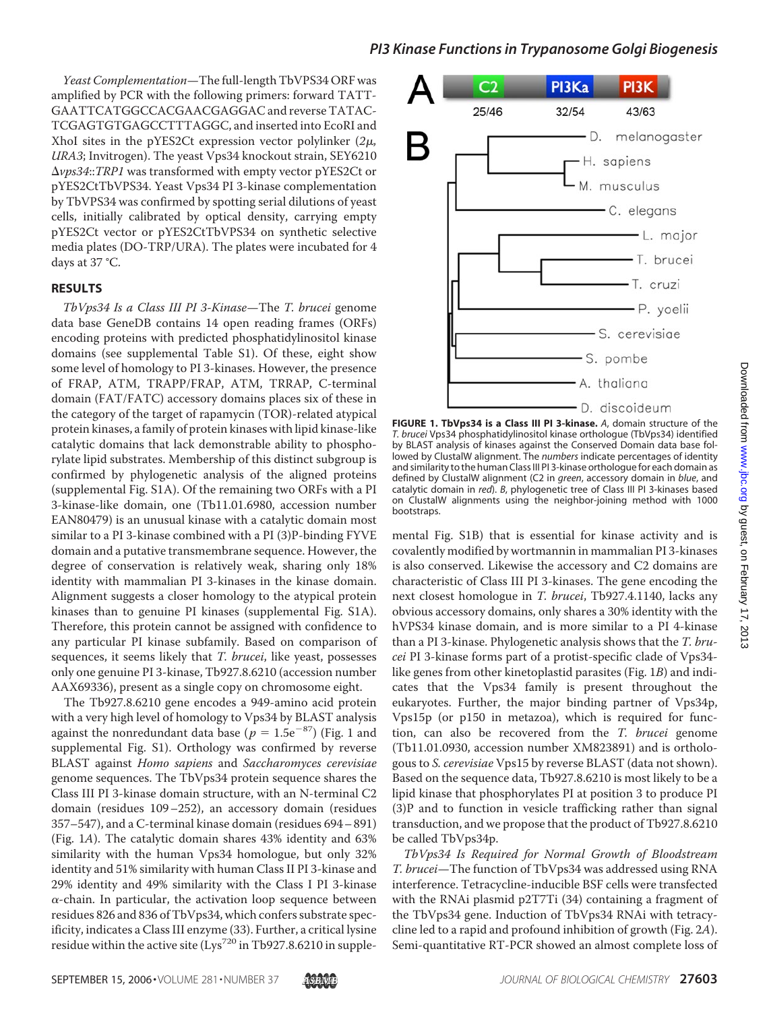*Yeast Complementation*—The full-length TbVPS34 ORF was amplified by PCR with the following primers: forward TATT-GAATTCATGGCCACGAACGAGGAC and reverse TATAC-TCGAGTGTGAGCCTTTAGGC, and inserted into EcoRI and XhoI sites in the pYES2Ct expression vector polylinker  $(2\mu,$ *URA3*; Invitrogen). The yeast Vps34 knockout strain, SEY6210 *vps34*::*TRP1* was transformed with empty vector pYES2Ct or pYES2CtTbVPS34. Yeast Vps34 PI 3-kinase complementation by TbVPS34 was confirmed by spotting serial dilutions of yeast cells, initially calibrated by optical density, carrying empty pYES2Ct vector or pYES2CtTbVPS34 on synthetic selective media plates (DO-TRP/URA). The plates were incubated for 4 days at 37 °C.

### **RESULTS**

*TbVps34 Is a Class III PI 3-Kinase*—The *T. brucei* genome data base GeneDB contains 14 open reading frames (ORFs) encoding proteins with predicted phosphatidylinositol kinase domains (see supplemental Table S1). Of these, eight show some level of homology to PI 3-kinases. However, the presence of FRAP, ATM, TRAPP/FRAP, ATM, TRRAP, C-terminal domain (FAT/FATC) accessory domains places six of these in the category of the target of rapamycin (TOR)-related atypical protein kinases, a family of protein kinases with lipid kinase-like catalytic domains that lack demonstrable ability to phosphorylate lipid substrates. Membership of this distinct subgroup is confirmed by phylogenetic analysis of the aligned proteins (supplemental Fig. S1A). Of the remaining two ORFs with a PI 3-kinase-like domain, one (Tb11.01.6980, accession number EAN80479) is an unusual kinase with a catalytic domain most similar to a PI 3-kinase combined with a PI (3)P-binding FYVE domain and a putative transmembrane sequence. However, the degree of conservation is relatively weak, sharing only 18% identity with mammalian PI 3-kinases in the kinase domain. Alignment suggests a closer homology to the atypical protein kinases than to genuine PI kinases (supplemental Fig. S1A). Therefore, this protein cannot be assigned with confidence to any particular PI kinase subfamily. Based on comparison of sequences, it seems likely that *T. brucei*, like yeast, possesses only one genuine PI 3-kinase, Tb927.8.6210 (accession number AAX69336), present as a single copy on chromosome eight.

The Tb927.8.6210 gene encodes a 949-amino acid protein with a very high level of homology to Vps34 by BLAST analysis against the nonredundant data base ( $p = 1.5e^{-87}$ ) (Fig. 1 and supplemental Fig. S1). Orthology was confirmed by reverse BLAST against *Homo sapiens* and *Saccharomyces cerevisiae* genome sequences. The TbVps34 protein sequence shares the Class III PI 3-kinase domain structure, with an N-terminal C2 domain (residues 109–252), an accessory domain (residues 357–547), and a C-terminal kinase domain (residues 694– 891) (Fig. 1*A*). The catalytic domain shares 43% identity and 63% similarity with the human Vps34 homologue, but only 32% identity and 51% similarity with human Class II PI 3-kinase and 29% identity and 49% similarity with the Class I PI 3-kinase  $\alpha$ -chain. In particular, the activation loop sequence between residues 826 and 836 of TbVps34, which confers substrate specificity, indicates a Class III enzyme (33). Further, a critical lysine residue within the active site (Lys<sup>720</sup> in Tb927.8.6210 in supple-



**FIGURE 1. TbVps34 is a Class III PI 3-kinase.** *A*, domain structure of the *T. brucei* Vps34 phosphatidylinositol kinase orthologue (TbVps34) identified by BLAST analysis of kinases against the Conserved Domain data base followed by ClustalW alignment. The *numbers* indicate percentages of identity and similarity to the human Class III PI 3-kinase orthologue for each domain as defined by ClustalW alignment (C2 in *green*, accessory domain in *blue*, and catalytic domain in *red*). *B*, phylogenetic tree of Class III PI 3-kinases based on ClustalW alignments using the neighbor-joining method with 1000 bootstraps.

mental Fig. S1B) that is essential for kinase activity and is covalently modified by wortmannin in mammalian PI 3-kinases is also conserved. Likewise the accessory and C2 domains are characteristic of Class III PI 3-kinases. The gene encoding the next closest homologue in *T. brucei*, Tb927.4.1140, lacks any obvious accessory domains, only shares a 30% identity with the hVPS34 kinase domain, and is more similar to a PI 4-kinase than a PI 3-kinase. Phylogenetic analysis shows that the *T. brucei* PI 3-kinase forms part of a protist-specific clade of Vps34 like genes from other kinetoplastid parasites (Fig. 1*B*) and indicates that the Vps34 family is present throughout the eukaryotes. Further, the major binding partner of Vps34p, Vps15p (or p150 in metazoa), which is required for function, can also be recovered from the *T. brucei* genome (Tb11.01.0930, accession number XM823891) and is orthologous to *S. cerevisiae* Vps15 by reverse BLAST (data not shown). Based on the sequence data, Tb927.8.6210 is most likely to be a lipid kinase that phosphorylates PI at position 3 to produce PI (3)P and to function in vesicle trafficking rather than signal transduction, and we propose that the product of Tb927.8.6210 be called TbVps34p.

*TbVps34 Is Required for Normal Growth of Bloodstream T. brucei*—The function of TbVps34 was addressed using RNA interference. Tetracycline-inducible BSF cells were transfected with the RNAi plasmid p2T7Ti (34) containing a fragment of the TbVps34 gene. Induction of TbVps34 RNAi with tetracycline led to a rapid and profound inhibition of growth (Fig. 2*A*). Semi-quantitative RT-PCR showed an almost complete loss of

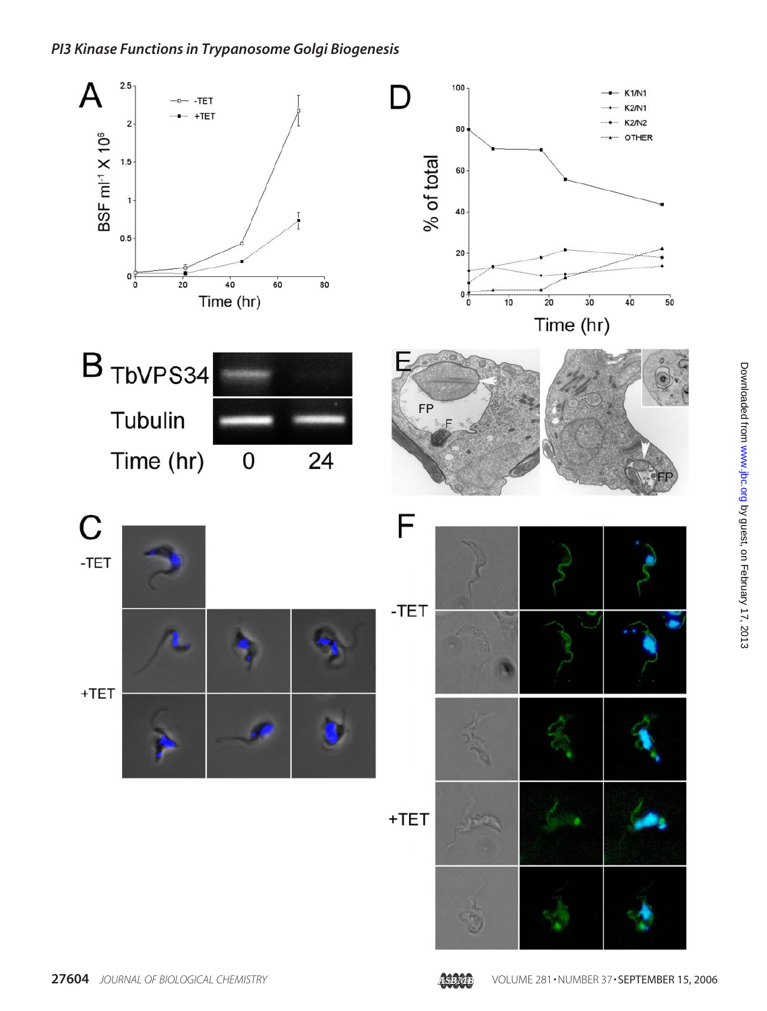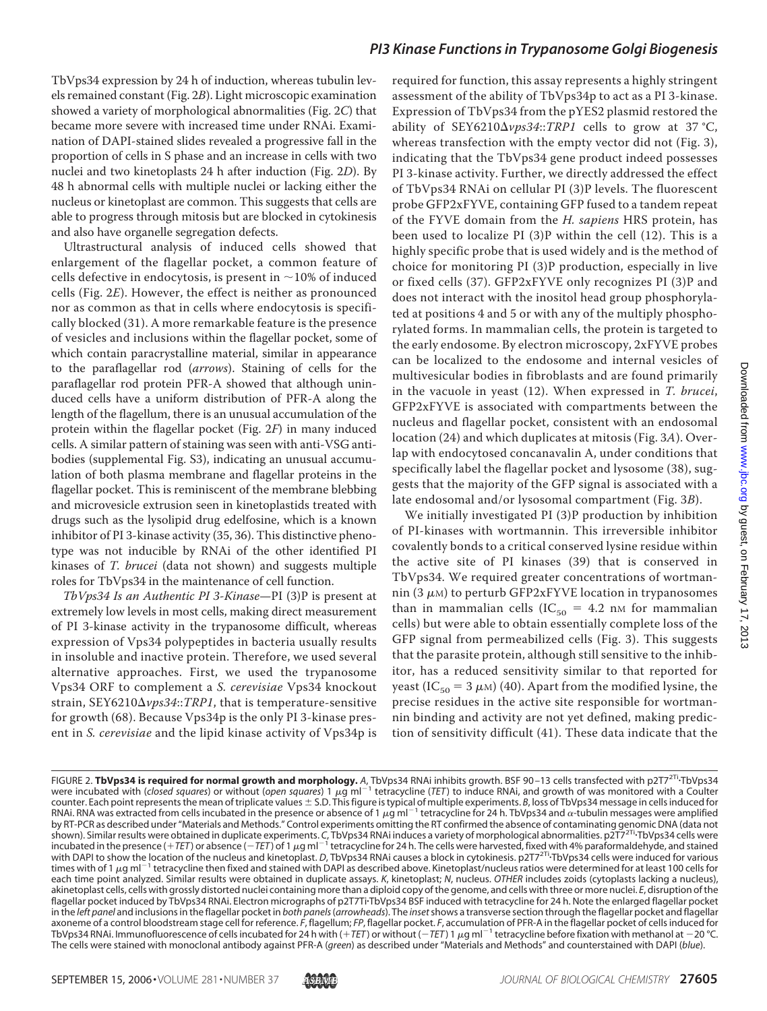TbVps34 expression by 24 h of induction, whereas tubulin levels remained constant (Fig. 2*B*). Light microscopic examination showed a variety of morphological abnormalities (Fig. 2*C*) that became more severe with increased time under RNAi. Examination of DAPI-stained slides revealed a progressive fall in the proportion of cells in S phase and an increase in cells with two nuclei and two kinetoplasts 24 h after induction (Fig. 2*D*). By 48 h abnormal cells with multiple nuclei or lacking either the nucleus or kinetoplast are common. This suggests that cells are able to progress through mitosis but are blocked in cytokinesis and also have organelle segregation defects.

Ultrastructural analysis of induced cells showed that enlargement of the flagellar pocket, a common feature of cells defective in endocytosis, is present in  $\sim$ 10% of induced cells (Fig. 2*E*). However, the effect is neither as pronounced nor as common as that in cells where endocytosis is specifically blocked (31). A more remarkable feature is the presence of vesicles and inclusions within the flagellar pocket, some of which contain paracrystalline material, similar in appearance to the paraflagellar rod (*arrows*). Staining of cells for the paraflagellar rod protein PFR-A showed that although uninduced cells have a uniform distribution of PFR-A along the length of the flagellum, there is an unusual accumulation of the protein within the flagellar pocket (Fig. 2*F*) in many induced cells. A similar pattern of staining was seen with anti-VSG antibodies (supplemental Fig. S3), indicating an unusual accumulation of both plasma membrane and flagellar proteins in the flagellar pocket. This is reminiscent of the membrane blebbing and microvesicle extrusion seen in kinetoplastids treated with drugs such as the lysolipid drug edelfosine, which is a known inhibitor of PI 3-kinase activity (35, 36). This distinctive phenotype was not inducible by RNAi of the other identified PI kinases of *T. brucei* (data not shown) and suggests multiple roles for TbVps34 in the maintenance of cell function.

*TbVps34 Is an Authentic PI 3-Kinase*—PI (3)P is present at extremely low levels in most cells, making direct measurement of PI 3-kinase activity in the trypanosome difficult, whereas expression of Vps34 polypeptides in bacteria usually results in insoluble and inactive protein. Therefore, we used several alternative approaches. First, we used the trypanosome Vps34 ORF to complement a *S. cerevisiae* Vps34 knockout strain, SEY6210*vps34*::*TRP1*, that is temperature-sensitive for growth (68). Because Vps34p is the only PI 3-kinase present in *S. cerevisiae* and the lipid kinase activity of Vps34p is

required for function, this assay represents a highly stringent assessment of the ability of TbVps34p to act as a PI 3-kinase. Expression of TbVps34 from the pYES2 plasmid restored the ability of SEY6210 $\Delta \nu ps34::TRP1$  cells to grow at 37 °C, whereas transfection with the empty vector did not (Fig. 3), indicating that the TbVps34 gene product indeed possesses PI 3-kinase activity. Further, we directly addressed the effect of TbVps34 RNAi on cellular PI (3)P levels. The fluorescent probe GFP2xFYVE, containing GFP fused to a tandem repeat of the FYVE domain from the *H. sapiens* HRS protein, has been used to localize PI (3)P within the cell (12). This is a highly specific probe that is used widely and is the method of choice for monitoring PI (3)P production, especially in live or fixed cells (37). GFP2xFYVE only recognizes PI (3)P and does not interact with the inositol head group phosphorylated at positions 4 and 5 or with any of the multiply phosphorylated forms. In mammalian cells, the protein is targeted to the early endosome. By electron microscopy, 2xFYVE probes can be localized to the endosome and internal vesicles of multivesicular bodies in fibroblasts and are found primarily in the vacuole in yeast (12). When expressed in *T. brucei*, GFP2xFYVE is associated with compartments between the nucleus and flagellar pocket, consistent with an endosomal location (24) and which duplicates at mitosis (Fig. 3*A*). Overlap with endocytosed concanavalin A, under conditions that specifically label the flagellar pocket and lysosome (38), suggests that the majority of the GFP signal is associated with a late endosomal and/or lysosomal compartment (Fig. 3*B*).

We initially investigated PI (3)P production by inhibition of PI-kinases with wortmannin. This irreversible inhibitor covalently bonds to a critical conserved lysine residue within the active site of PI kinases (39) that is conserved in TbVps34. We required greater concentrations of wortmannin (3  $\mu$ m) to perturb GFP2xFYVE location in trypanosomes than in mammalian cells (IC<sub>50</sub> = 4.2 nm for mammalian cells) but were able to obtain essentially complete loss of the GFP signal from permeabilized cells (Fig. 3). This suggests that the parasite protein, although still sensitive to the inhibitor, has a reduced sensitivity similar to that reported for yeast (IC<sub>50</sub> = 3  $\mu$ <sub>M</sub>) (40). Apart from the modified lysine, the precise residues in the active site responsible for wortmannin binding and activity are not yet defined, making prediction of sensitivity difficult (41). These data indicate that the

FIGURE 2. **TbVps34 is required for normal growth and morphology.** *A*, TbVps34 RNAi inhibits growth. BSF 90 –13 cells transfected with p2T72Ti-TbVps34 were incubated with (*closed squares*) or without (*open squares*) 1  $\mu$ g ml<sup>-1</sup> tetracycline (*TET*) to induce RNAi, and growth of was monitored with a Coulter counter. Each point represents the mean of triplicate values ± S.D. This figure is typical of multiple experiments. *B,* loss of TbVps34 message in cells induced for<br>RNAi. RNA was extracted from cells incubated in the pres by RT-PCR as described under "Materials and Methods." Control experiments omitting the RT confirmed the absence of contaminating genomic DNA (data not shown). Similar results were obtained in duplicate experiments. C, TbVps34 RNAi induces a variety of morphological abnormalities. p2T7<sup>2Ti</sup>·TbVps34 cells were<br>incubated in the presence (+*TET*) or absence (−*TET*) of 1 μg with DAPI to show the location of the nucleus and kinetoplast. *D*, TbVps34 RNAi causes a block in cytokinesis. p2T7<sup>2Ti</sup> TbVps34 cells were induced for various times with of 1  $\mu$ g ml<sup>-1</sup> tetracycline then fixed and stained with DAPI as described above. Kinetoplast/nucleus ratios were determined for at least 100 cells for each time point analyzed. Similar results were obtained in duplicate assays. *K*, kinetoplast; *N*, nucleus. *OTHER* includes zoids (cytoplasts lacking a nucleus), akinetoplast cells, cells with grossly distorted nuclei containing more than a diploid copy of the genome, and cells with three or more nuclei. *E*, disruption of the flagellar pocket induced by TbVps34 RNAi. Electron micrographs of p2T7Ti-TbVps34 BSF induced with tetracycline for 24 h. Note the enlarged flagellar pocket in the *left panel* and inclusions in the flagellar pocket in *both panels*(*arrowheads*). The *inset*shows a transverse section through the flagellar pocket and flagellar axoneme of a control bloodstream stage cell for reference. *F*, flagellum; *FP*, flagellar pocket. *F*, accumulation of PFR-A in the flagellar pocket of cells induced for TbVps34 RNAi. Immunofluorescence of cells incubated for 24 h with (+TET) or without (-TET) 1 µg ml<sup>-1</sup> tetracycline before fixation with methanol at -20 °C. The cells were stained with monoclonal antibody against PFR-A (*green*) as described under "Materials and Methods" and counterstained with DAPI (*blue*).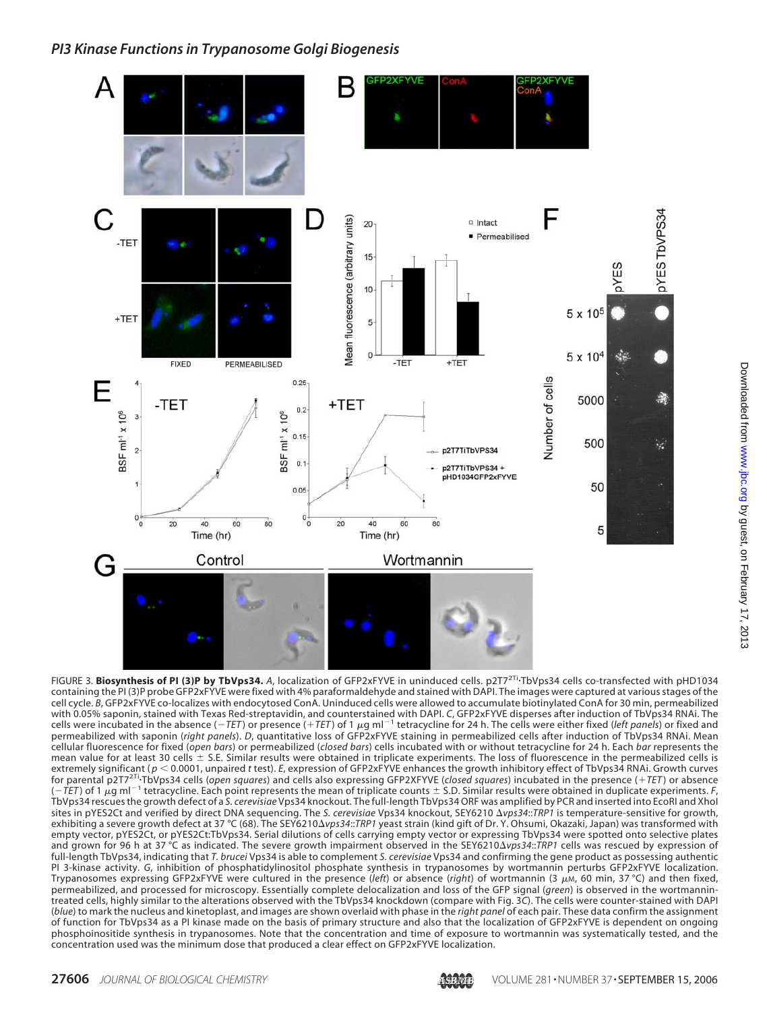

FIGURE 3. **Biosynthesis of PI (3)P by TbVps34.** *A*, localization of GFP2xFYVE in uninduced cells. p2T72Ti-TbVps34 cells co-transfected with pHD1034 containing the PI (3)P probe GFP2xFYVE were fixed with 4% paraformaldehyde and stained with DAPI. The images were captured at various stages of the cell cycle. *B*, GFP2xFYVE co-localizes with endocytosed ConA. Uninduced cells were allowed to accumulate biotinylated ConA for 30 min, permeabilized with 0.05% saponin, stained with Texas Red-streptavidin, and counterstained with DAPI. *C*, GFP2xFYVE disperses after induction of TbVps34 RNAi. The cells were incubated in the absence ( $-TET$ ) or presence ( $+TET$ ) of 1  $\mu$ g ml<sup>-1</sup> tetracycline for 24 h. The cells were either fixed (*left panels*) or fixed and permeabilized with saponin (*right panels*). *D*, quantitative loss of GFP2xFYVE staining in permeabilized cells after induction of TbVps34 RNAi. Mean cellular fluorescence for fixed (*open bars*) or permeabilized (*closed bars*) cells incubated with or without tetracycline for 24 h. Each *bar* represents the mean value for at least 30 cells  $\pm$  S.E. Similar results were obtained in triplicate experiments. The loss of fluorescence in the permeabilized cells is extremely significant ( $p < 0.0001$ , unpaired *t* test). *E*, expression of GFP2xFYVE enhances the growth inhibitory effect of TbVps34 RNAi. Growth curves for parental p2T72Ti-TbVps34 cells (*open squares*) and cells also expressing GFP2XFYVE (*closed squares*) incubated in the presence (*TET* ) or absence  $(-TET)$  of 1  $\mu$ g ml<sup>-1</sup> tetracycline. Each point represents the mean of triplicate counts  $\pm$  S.D. Similar results were obtained in duplicate experiments. *F*, TbVps34 rescues the growth defect of a *S. cerevisiae* Vps34 knockout. The full-length TbVps34 ORF was amplified by PCR and inserted into EcoRI and XhoI sites in pYES2Ct and verified by direct DNA sequencing. The *S. cerevisiae* Vps34 knockout, SEY6210 *vps34*::*TRP1* is temperature-sensitive for growth, exhibiting a severe growth defect at 37 °C (68). The SEY6210 $\Delta v$ ps34::TRP1 yeast strain (kind gift of Dr. Y. Ohsumi, Okazaki, Japan) was transformed with empty vector, pYES2Ct, or pYES2Ct:TbVps34. Serial dilutions of cells carrying empty vector or expressing TbVps34 were spotted onto selective plates and grown for 96 h at 37 °C as indicated. The severe growth impairment observed in the SEY6210*vps34*::*TRP1* cells was rescued by expression of full-length TbVps34, indicating that *T. brucei* Vps34 is able to complement *S. cerevisiae* Vps34 and confirming the gene product as possessing authentic PI 3-kinase activity. *G*, inhibition of phosphatidylinositol phosphate synthesis in trypanosomes by wortmannin perturbs GFP2xFYVE localization. Trypanosomes expressing GFP2xFYVE were cultured in the presence (*left*) or absence (*right*) of wortmannin (3 μ*m*, 60 min, 37 °C) and then fixed, permeabilized, and processed for microscopy. Essentially complete delocalization and loss of the GFP signal (*green*) is observed in the wortmannintreated cells, highly similar to the alterations observed with the TbVps34 knockdown (compare with Fig. 3*C*). The cells were counter-stained with DAPI (*blue*) to mark the nucleus and kinetoplast, and images are shown overlaid with phase in the *right panel* of each pair. These data confirm the assignment of function for TbVps34 as a PI kinase made on the basis of primary structure and also that the localization of GFP2xFYVE is dependent on ongoing phosphoinositide synthesis in trypanosomes. Note that the concentration and time of exposure to wortmannin was systematically tested, and the concentration used was the minimum dose that produced a clear effect on GFP2xFYVE localization.

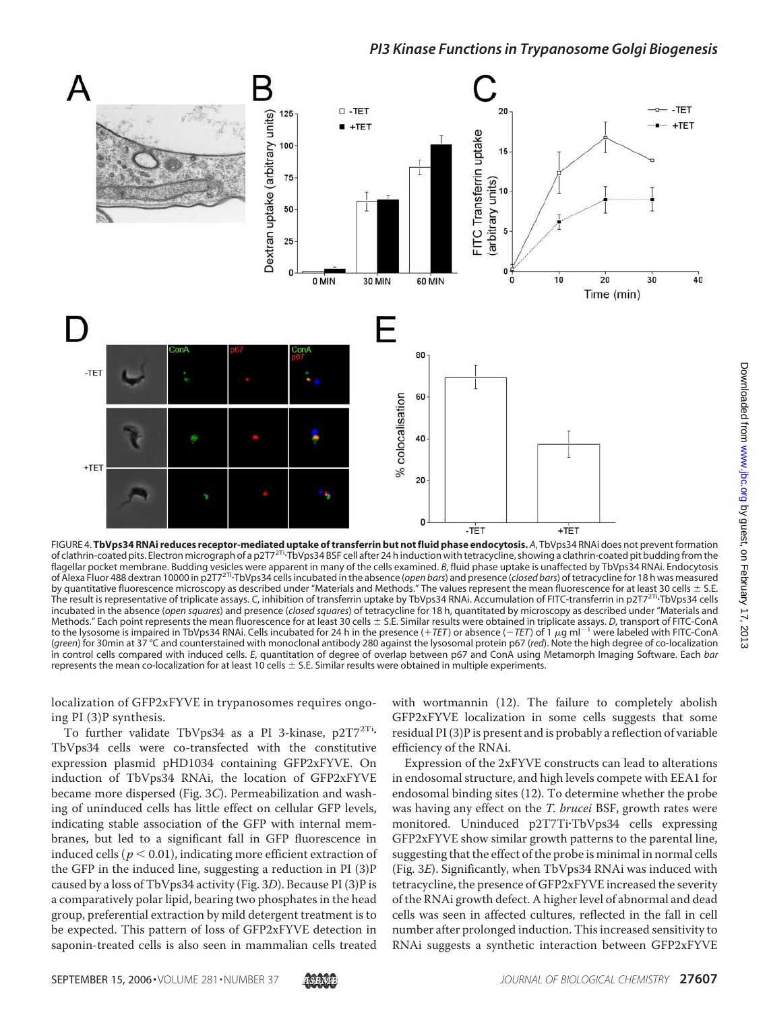

FIGURE 4. **TbVps34 RNAi reduces receptor-mediated uptake of transferrin but not fluid phase endocytosis.** A, TbVps34 RNAi does not prevent formation<br>of clathrin-coated pits. Electron micrograph of a p2T7<sup>2Ti.</sup>TbVps34 BSF c flagellar pocket membrane. Budding vesicles were apparent in many of the cells examined. *B*, fluid phase uptake is unaffected by TbVps34 RNAi. Endocytosis of Alexa Fluor 488 dextran 10000 in p2T72Ti-TbVps34 cells incubated in the absence (*open bars*) and presence (*closed bars*) of tetracycline for 18 h was measured by quantitative fluorescence microscopy as described under "Materials and Methods." The values represent the mean fluorescence for at least 30 cells  $\pm$  S.E. The result is representative of triplicate assays. *C*, inhibition of transferrin uptake by TbVps34 RNAi. Accumulation of FITC-transferrin in p2T72Ti-TbVps34 cells incubated in the absence (*open squares*) and presence (*closed squares*) of tetracycline for 18 h, quantitated by microscopy as described under "Materials and Methods." Each point represents the mean fluorescence for at least 30 cells  $\pm$  S.E. Similar results were obtained in triplicate assays. *D*, transport of FITC-ConA to the lysosome is impaired in TbVps34 RNAi. Cells incubated for 24 h in the presence (+TET) or absence (-TET) of 1 µg ml<sup>-1</sup> were labeled with FITC-ConA (*green*) for 30min at 37 °C and counterstained with monoclonal antibody 280 against the lysosomal protein p67 (*red*). Note the high degree of co-localization in control cells compared with induced cells. *E*, quantitation of degree of overlap between p67 and ConA using Metamorph Imaging Software. Each *bar* represents the mean co-localization for at least 10 cells  $\pm$  S.E. Similar results were obtained in multiple experiments.

localization of GFP2xFYVE in trypanosomes requires ongoing PI (3)P synthesis.

To further validate TbVps34 as a PI 3-kinase, p2T7<sup>2Ti</sup>-TbVps34 cells were co-transfected with the constitutive expression plasmid pHD1034 containing GFP2xFYVE. On induction of TbVps34 RNAi, the location of GFP2xFYVE became more dispersed (Fig. 3*C*). Permeabilization and washing of uninduced cells has little effect on cellular GFP levels, indicating stable association of the GFP with internal membranes, but led to a significant fall in GFP fluorescence in induced cells ( $p < 0.01$ ), indicating more efficient extraction of the GFP in the induced line, suggesting a reduction in PI (3)P caused by a loss of TbVps34 activity (Fig. 3*D*). Because PI (3)P is a comparatively polar lipid, bearing two phosphates in the head group, preferential extraction by mild detergent treatment is to be expected. This pattern of loss of GFP2xFYVE detection in saponin-treated cells is also seen in mammalian cells treated

with wortmannin (12). The failure to completely abolish GFP2xFYVE localization in some cells suggests that some residual PI (3)P is present and is probably a reflection of variable efficiency of the RNAi.

Expression of the 2xFYVE constructs can lead to alterations in endosomal structure, and high levels compete with EEA1 for endosomal binding sites (12). To determine whether the probe was having any effect on the *T. brucei* BSF, growth rates were monitored. Uninduced p2T7Ti-TbVps34 cells expressing GFP2xFYVE show similar growth patterns to the parental line, suggesting that the effect of the probe is minimal in normal cells (Fig. 3*E*). Significantly, when TbVps34 RNAi was induced with tetracycline, the presence of GFP2xFYVE increased the severity of the RNAi growth defect. A higher level of abnormal and dead cells was seen in affected cultures, reflected in the fall in cell number after prolonged induction. This increased sensitivity to RNAi suggests a synthetic interaction between GFP2xFYVE

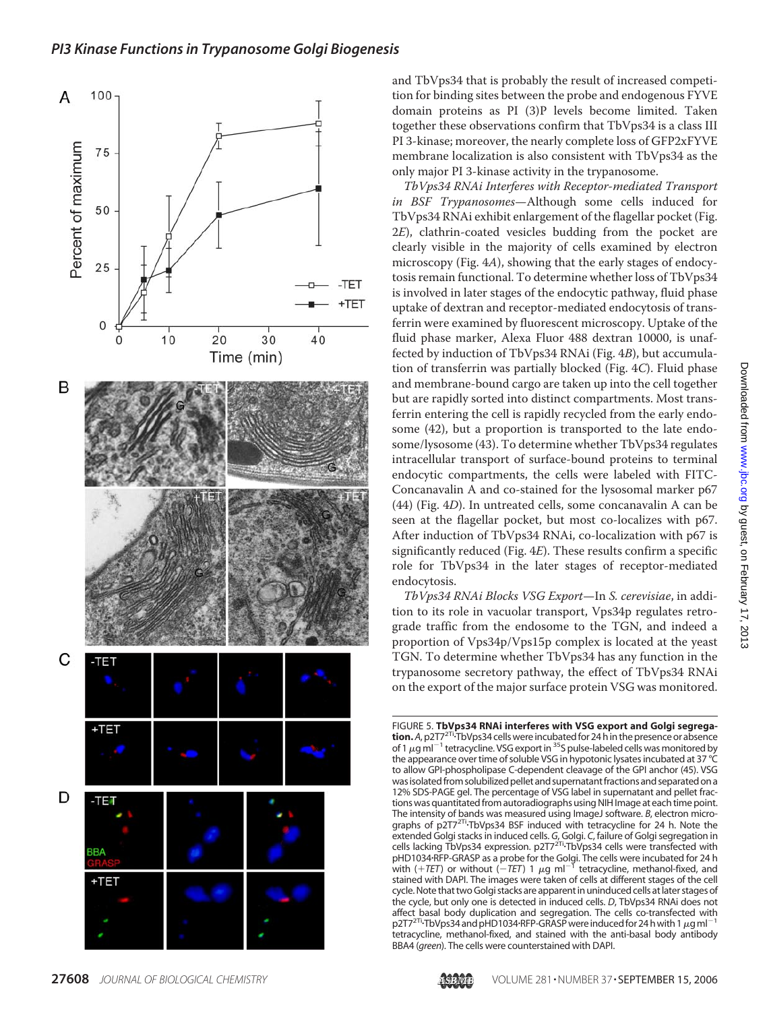

and TbVps34 that is probably the result of increased competition for binding sites between the probe and endogenous FYVE domain proteins as PI (3)P levels become limited. Taken together these observations confirm that TbVps34 is a class III PI 3-kinase; moreover, the nearly complete loss of GFP2xFYVE membrane localization is also consistent with TbVps34 as the only major PI 3-kinase activity in the trypanosome.

*TbVps34 RNAi Interferes with Receptor-mediated Transport in BSF Trypanosomes*—Although some cells induced for TbVps34 RNAi exhibit enlargement of the flagellar pocket (Fig. 2*E*), clathrin-coated vesicles budding from the pocket are clearly visible in the majority of cells examined by electron microscopy (Fig. 4*A*), showing that the early stages of endocytosis remain functional. To determine whether loss of TbVps34 is involved in later stages of the endocytic pathway, fluid phase uptake of dextran and receptor-mediated endocytosis of transferrin were examined by fluorescent microscopy. Uptake of the fluid phase marker, Alexa Fluor 488 dextran 10000, is unaffected by induction of TbVps34 RNAi (Fig. 4*B*), but accumulation of transferrin was partially blocked (Fig. 4*C*). Fluid phase and membrane-bound cargo are taken up into the cell together but are rapidly sorted into distinct compartments. Most transferrin entering the cell is rapidly recycled from the early endosome (42), but a proportion is transported to the late endosome/lysosome (43). To determine whether TbVps34 regulates intracellular transport of surface-bound proteins to terminal endocytic compartments, the cells were labeled with FITC-Concanavalin A and co-stained for the lysosomal marker p67 (44) (Fig. 4*D*). In untreated cells, some concanavalin A can be seen at the flagellar pocket, but most co-localizes with p67. After induction of TbVps34 RNAi, co-localization with p67 is significantly reduced (Fig. 4*E*). These results confirm a specific role for TbVps34 in the later stages of receptor-mediated endocytosis.

*TbVps34 RNAi Blocks VSG Export*—In *S. cerevisiae*, in addition to its role in vacuolar transport, Vps34p regulates retrograde traffic from the endosome to the TGN, and indeed a proportion of Vps34p/Vps15p complex is located at the yeast TGN. To determine whether TbVps34 has any function in the trypanosome secretory pathway, the effect of TbVps34 RNAi on the export of the major surface protein VSG was monitored.

FIGURE 5. **TbVps34 RNAi interferes with VSG export and Golgi segregation.** *A*, p2T72Ti-TbVps34 cells were incubatedfor 24 h in the presence or absence of 1  $\mu$ g ml<sup>-1</sup> tetracycline. VSG export in <sup>35</sup>S pulse-labeled cells was monitored by the appearance over time of soluble VSG in hypotonic lysates incubated at 37 °C to allow GPI-phospholipase C-dependent cleavage of the GPI anchor (45). VSG was isolated from solubilized pellet and supernatant fractions and separated on a 12% SDS-PAGE gel. The percentage of VSG label in supernatant and pellet fractions was quantitated from autoradiographs using NIH Image at each time point. The intensity of bands was measured using ImageJ software. *B*, electron micrographs of p2T7<sup>2Ti</sup>-TbVps34 BSF induced with tetracycline for 24 h. Note the extended Golgi stacks in induced cells. G, Golgi. C, failure of Golgi segregation in<br>cells lacking TbVps34 expression. p2T7<sup>2Ti,</sup>TbVps34 cells were transfected with pHD1034·RFP-GRASP as a probe for the Golgi. The cells were incubated for 24 h<br>with (+*TET*) or without (−*TET*) 1 μg ml<sup>−1</sup> tetracycline, methanol-fixed, and stained with DAPI. The images were taken of cells at different stages of the cell cycle.Note that twoGolgi stacks are apparent in uninduced cells at later stages of the cycle, but only one is detected in induced cells. *D*, TbVps34 RNAi does not affect basal body duplication and segregation. The cells co-transfected with p2T7<sup>2Ti</sup>•TbVps34 and pHD1034·RFP-GRASP were induced for 24 h with 1  $\mu$ g ml<sup>-1</sup> tetracycline, methanol-fixed, and stained with the anti-basal body antibody BBA4 (*green*). The cells were counterstained with DAPI.

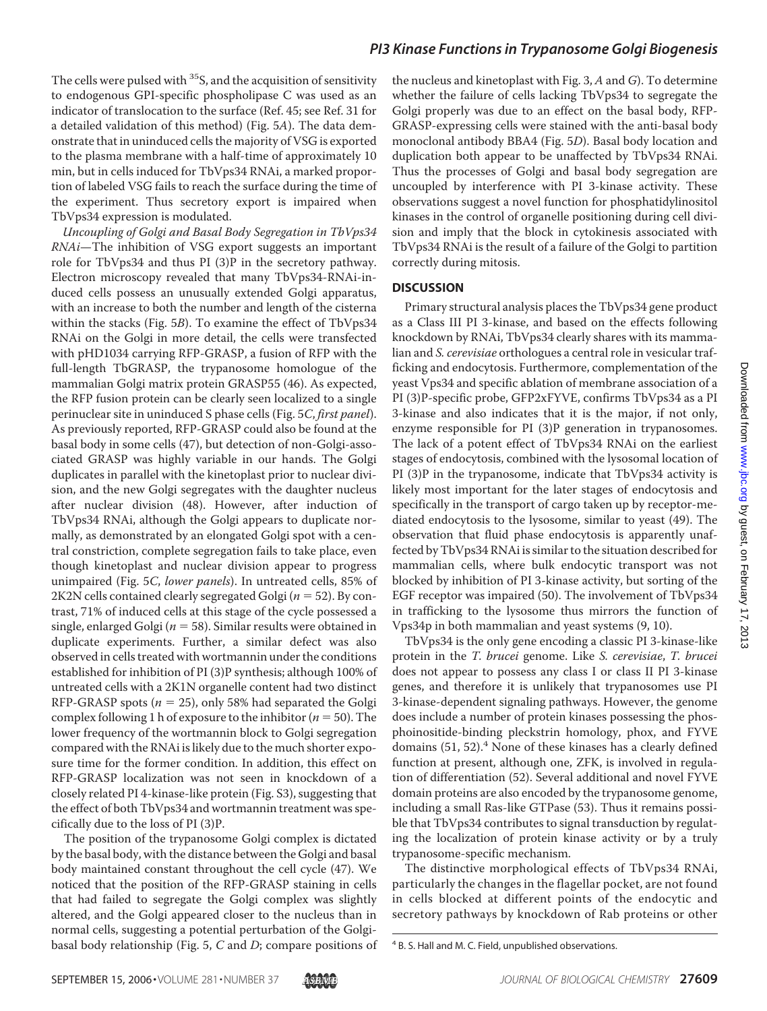The cells were pulsed with  ${}^{35}S$ , and the acquisition of sensitivity to endogenous GPI-specific phospholipase C was used as an indicator of translocation to the surface (Ref. 45; see Ref. 31 for a detailed validation of this method) (Fig. 5*A*). The data demonstrate that in uninduced cells the majority of VSG is exported to the plasma membrane with a half-time of approximately 10 min, but in cells induced for TbVps34 RNAi, a marked proportion of labeled VSG fails to reach the surface during the time of the experiment. Thus secretory export is impaired when TbVps34 expression is modulated.

*Uncoupling of Golgi and Basal Body Segregation in TbVps34 RNAi*—The inhibition of VSG export suggests an important role for TbVps34 and thus PI (3)P in the secretory pathway. Electron microscopy revealed that many TbVps34-RNAi-induced cells possess an unusually extended Golgi apparatus, with an increase to both the number and length of the cisterna within the stacks (Fig. 5*B*). To examine the effect of TbVps34 RNAi on the Golgi in more detail, the cells were transfected with pHD1034 carrying RFP-GRASP, a fusion of RFP with the full-length TbGRASP, the trypanosome homologue of the mammalian Golgi matrix protein GRASP55 (46). As expected, the RFP fusion protein can be clearly seen localized to a single perinuclear site in uninduced S phase cells (Fig. 5*C*, *first panel*). As previously reported, RFP-GRASP could also be found at the basal body in some cells (47), but detection of non-Golgi-associated GRASP was highly variable in our hands. The Golgi duplicates in parallel with the kinetoplast prior to nuclear division, and the new Golgi segregates with the daughter nucleus after nuclear division (48). However, after induction of TbVps34 RNAi, although the Golgi appears to duplicate normally, as demonstrated by an elongated Golgi spot with a central constriction, complete segregation fails to take place, even though kinetoplast and nuclear division appear to progress unimpaired (Fig. 5*C*, *lower panels*). In untreated cells, 85% of 2K2N cells contained clearly segregated Golgi ( $n = 52$ ). By contrast, 71% of induced cells at this stage of the cycle possessed a single, enlarged Golgi ( $n = 58$ ). Similar results were obtained in duplicate experiments. Further, a similar defect was also observed in cells treated with wortmannin under the conditions established for inhibition of PI (3)P synthesis; although 100% of untreated cells with a 2K1N organelle content had two distinct RFP-GRASP spots ( $n = 25$ ), only 58% had separated the Golgi complex following 1 h of exposure to the inhibitor ( $n = 50$ ). The lower frequency of the wortmannin block to Golgi segregation compared with the RNAi is likely due to the much shorter exposure time for the former condition. In addition, this effect on RFP-GRASP localization was not seen in knockdown of a closely related PI 4-kinase-like protein (Fig. S3), suggesting that the effect of both TbVps34 and wortmannin treatment was specifically due to the loss of PI (3)P.

The position of the trypanosome Golgi complex is dictated by the basal body, with the distance between the Golgi and basal body maintained constant throughout the cell cycle (47). We noticed that the position of the RFP-GRASP staining in cells that had failed to segregate the Golgi complex was slightly altered, and the Golgi appeared closer to the nucleus than in normal cells, suggesting a potential perturbation of the Golgibasal body relationship (Fig. 5, *C* and *D*; compare positions of the nucleus and kinetoplast with Fig. 3, *A* and *G*). To determine whether the failure of cells lacking TbVps34 to segregate the Golgi properly was due to an effect on the basal body, RFP-GRASP-expressing cells were stained with the anti-basal body monoclonal antibody BBA4 (Fig. 5*D*). Basal body location and duplication both appear to be unaffected by TbVps34 RNAi. Thus the processes of Golgi and basal body segregation are uncoupled by interference with PI 3-kinase activity. These observations suggest a novel function for phosphatidylinositol kinases in the control of organelle positioning during cell division and imply that the block in cytokinesis associated with TbVps34 RNAi is the result of a failure of the Golgi to partition correctly during mitosis.

### **DISCUSSION**

Primary structural analysis places the TbVps34 gene product as a Class III PI 3-kinase, and based on the effects following knockdown by RNAi, TbVps34 clearly shares with its mammalian and *S. cerevisiae* orthologues a central role in vesicular trafficking and endocytosis. Furthermore, complementation of the yeast Vps34 and specific ablation of membrane association of a PI (3)P-specific probe, GFP2xFYVE, confirms TbVps34 as a PI 3-kinase and also indicates that it is the major, if not only, enzyme responsible for PI (3)P generation in trypanosomes. The lack of a potent effect of TbVps34 RNAi on the earliest stages of endocytosis, combined with the lysosomal location of PI (3)P in the trypanosome, indicate that TbVps34 activity is likely most important for the later stages of endocytosis and specifically in the transport of cargo taken up by receptor-mediated endocytosis to the lysosome, similar to yeast (49). The observation that fluid phase endocytosis is apparently unaffected by TbVps34 RNAi is similar to the situation described for mammalian cells, where bulk endocytic transport was not blocked by inhibition of PI 3-kinase activity, but sorting of the EGF receptor was impaired (50). The involvement of TbVps34 in trafficking to the lysosome thus mirrors the function of Vps34p in both mammalian and yeast systems (9, 10).

TbVps34 is the only gene encoding a classic PI 3-kinase-like protein in the *T. brucei* genome. Like *S. cerevisiae*, *T. brucei* does not appear to possess any class I or class II PI 3-kinase genes, and therefore it is unlikely that trypanosomes use PI 3-kinase-dependent signaling pathways. However, the genome does include a number of protein kinases possessing the phosphoinositide-binding pleckstrin homology, phox, and FYVE domains  $(51, 52)$ .<sup>4</sup> None of these kinases has a clearly defined function at present, although one, ZFK, is involved in regulation of differentiation (52). Several additional and novel FYVE domain proteins are also encoded by the trypanosome genome, including a small Ras-like GTPase (53). Thus it remains possible that TbVps34 contributes to signal transduction by regulating the localization of protein kinase activity or by a truly trypanosome-specific mechanism.

The distinctive morphological effects of TbVps34 RNAi, particularly the changes in the flagellar pocket, are not found in cells blocked at different points of the endocytic and secretory pathways by knockdown of Rab proteins or other



<sup>4</sup> B. S. Hall and M. C. Field, unpublished observations.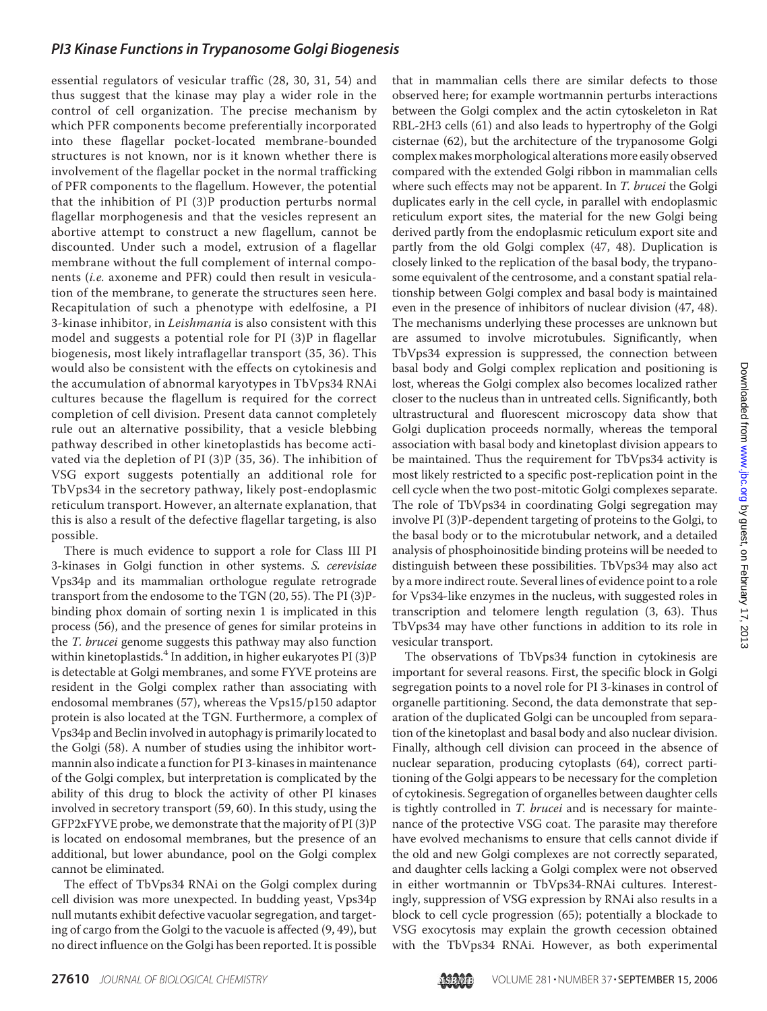essential regulators of vesicular traffic (28, 30, 31, 54) and thus suggest that the kinase may play a wider role in the control of cell organization. The precise mechanism by which PFR components become preferentially incorporated into these flagellar pocket-located membrane-bounded structures is not known, nor is it known whether there is involvement of the flagellar pocket in the normal trafficking of PFR components to the flagellum. However, the potential that the inhibition of PI (3)P production perturbs normal flagellar morphogenesis and that the vesicles represent an abortive attempt to construct a new flagellum, cannot be discounted. Under such a model, extrusion of a flagellar membrane without the full complement of internal components (*i.e.* axoneme and PFR) could then result in vesiculation of the membrane, to generate the structures seen here. Recapitulation of such a phenotype with edelfosine, a PI 3-kinase inhibitor, in *Leishmania* is also consistent with this model and suggests a potential role for PI (3)P in flagellar biogenesis, most likely intraflagellar transport (35, 36). This would also be consistent with the effects on cytokinesis and the accumulation of abnormal karyotypes in TbVps34 RNAi cultures because the flagellum is required for the correct completion of cell division. Present data cannot completely rule out an alternative possibility, that a vesicle blebbing pathway described in other kinetoplastids has become activated via the depletion of PI (3)P (35, 36). The inhibition of VSG export suggests potentially an additional role for TbVps34 in the secretory pathway, likely post-endoplasmic reticulum transport. However, an alternate explanation, that this is also a result of the defective flagellar targeting, is also possible.

There is much evidence to support a role for Class III PI 3-kinases in Golgi function in other systems. *S. cerevisiae* Vps34p and its mammalian orthologue regulate retrograde transport from the endosome to the TGN (20, 55). The PI (3)Pbinding phox domain of sorting nexin 1 is implicated in this process (56), and the presence of genes for similar proteins in the *T. brucei* genome suggests this pathway may also function within kinetoplastids.<sup>4</sup> In addition, in higher eukaryotes PI  $(3)$ P is detectable at Golgi membranes, and some FYVE proteins are resident in the Golgi complex rather than associating with endosomal membranes (57), whereas the Vps15/p150 adaptor protein is also located at the TGN. Furthermore, a complex of Vps34p and Beclin involved in autophagy is primarily located to the Golgi (58). A number of studies using the inhibitor wortmannin also indicate a function for PI 3-kinases in maintenance of the Golgi complex, but interpretation is complicated by the ability of this drug to block the activity of other PI kinases involved in secretory transport (59, 60). In this study, using the GFP2xFYVE probe, we demonstrate that the majority of PI (3)P is located on endosomal membranes, but the presence of an additional, but lower abundance, pool on the Golgi complex cannot be eliminated.

The effect of TbVps34 RNAi on the Golgi complex during cell division was more unexpected. In budding yeast, Vps34p null mutants exhibit defective vacuolar segregation, and targeting of cargo from the Golgi to the vacuole is affected (9, 49), but no direct influence on the Golgi has been reported. It is possible

that in mammalian cells there are similar defects to those observed here; for example wortmannin perturbs interactions between the Golgi complex and the actin cytoskeleton in Rat RBL-2H3 cells (61) and also leads to hypertrophy of the Golgi cisternae (62), but the architecture of the trypanosome Golgi complex makes morphological alterations more easily observed compared with the extended Golgi ribbon in mammalian cells where such effects may not be apparent. In *T. brucei* the Golgi duplicates early in the cell cycle, in parallel with endoplasmic reticulum export sites, the material for the new Golgi being derived partly from the endoplasmic reticulum export site and partly from the old Golgi complex (47, 48). Duplication is closely linked to the replication of the basal body, the trypanosome equivalent of the centrosome, and a constant spatial relationship between Golgi complex and basal body is maintained even in the presence of inhibitors of nuclear division (47, 48). The mechanisms underlying these processes are unknown but are assumed to involve microtubules. Significantly, when TbVps34 expression is suppressed, the connection between basal body and Golgi complex replication and positioning is lost, whereas the Golgi complex also becomes localized rather closer to the nucleus than in untreated cells. Significantly, both ultrastructural and fluorescent microscopy data show that Golgi duplication proceeds normally, whereas the temporal association with basal body and kinetoplast division appears to be maintained. Thus the requirement for TbVps34 activity is most likely restricted to a specific post-replication point in the cell cycle when the two post-mitotic Golgi complexes separate. The role of TbVps34 in coordinating Golgi segregation may involve PI (3)P-dependent targeting of proteins to the Golgi, to the basal body or to the microtubular network, and a detailed analysis of phosphoinositide binding proteins will be needed to distinguish between these possibilities. TbVps34 may also act by a more indirect route. Several lines of evidence point to a role for Vps34-like enzymes in the nucleus, with suggested roles in transcription and telomere length regulation (3, 63). Thus TbVps34 may have other functions in addition to its role in vesicular transport.

The observations of TbVps34 function in cytokinesis are important for several reasons. First, the specific block in Golgi segregation points to a novel role for PI 3-kinases in control of organelle partitioning. Second, the data demonstrate that separation of the duplicated Golgi can be uncoupled from separation of the kinetoplast and basal body and also nuclear division. Finally, although cell division can proceed in the absence of nuclear separation, producing cytoplasts (64), correct partitioning of the Golgi appears to be necessary for the completion of cytokinesis. Segregation of organelles between daughter cells is tightly controlled in *T. brucei* and is necessary for maintenance of the protective VSG coat. The parasite may therefore have evolved mechanisms to ensure that cells cannot divide if the old and new Golgi complexes are not correctly separated, and daughter cells lacking a Golgi complex were not observed in either wortmannin or TbVps34-RNAi cultures. Interestingly, suppression of VSG expression by RNAi also results in a block to cell cycle progression (65); potentially a blockade to VSG exocytosis may explain the growth cecession obtained with the TbVps34 RNAi. However, as both experimental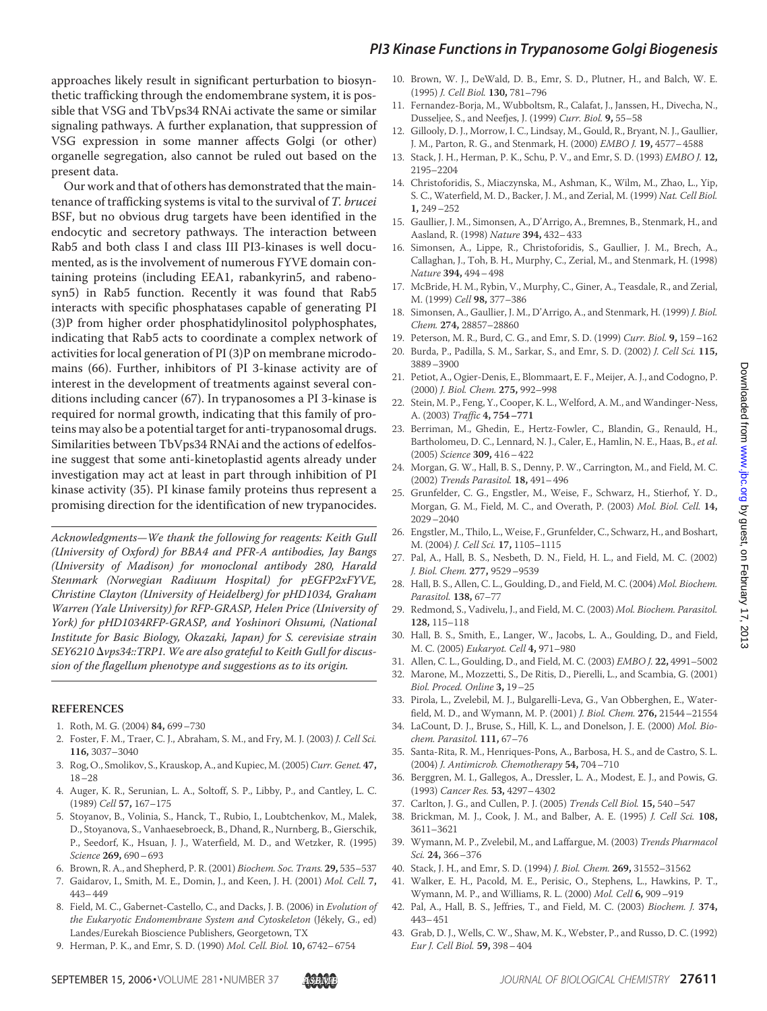approaches likely result in significant perturbation to biosynthetic trafficking through the endomembrane system, it is possible that VSG and TbVps34 RNAi activate the same or similar signaling pathways. A further explanation, that suppression of VSG expression in some manner affects Golgi (or other) organelle segregation, also cannot be ruled out based on the present data.

Our work and that of others has demonstrated that the maintenance of trafficking systems is vital to the survival of *T. brucei* BSF, but no obvious drug targets have been identified in the endocytic and secretory pathways. The interaction between Rab5 and both class I and class III PI3-kinases is well documented, as is the involvement of numerous FYVE domain containing proteins (including EEA1, rabankyrin5, and rabenosyn5) in Rab5 function. Recently it was found that Rab5 interacts with specific phosphatases capable of generating PI (3)P from higher order phosphatidylinositol polyphosphates, indicating that Rab5 acts to coordinate a complex network of activities for local generation of PI (3)P on membrane microdomains (66). Further, inhibitors of PI 3-kinase activity are of interest in the development of treatments against several conditions including cancer (67). In trypanosomes a PI 3-kinase is required for normal growth, indicating that this family of proteins may also be a potential target for anti-trypanosomal drugs. Similarities between TbVps34 RNAi and the actions of edelfosine suggest that some anti-kinetoplastid agents already under investigation may act at least in part through inhibition of PI kinase activity (35). PI kinase family proteins thus represent a promising direction for the identification of new trypanocides.

*Acknowledgments—We thank the following for reagents: Keith Gull (University of Oxford) for BBA4 and PFR-A antibodies, Jay Bangs (University of Madison) for monoclonal antibody 280, Harald Stenmark (Norwegian Radiuum Hospital) for pEGFP2xFYVE, Christine Clayton (University of Heidelberg) for pHD1034, Graham Warren (Yale University) for RFP-GRASP, Helen Price (University of York) for pHD1034RFP-GRASP, and Yoshinori Ohsumi, (National Institute for Basic Biology, Okazaki, Japan) for S. cerevisiae strain SEY6210 vps34::TRP1. We are also grateful to Keith Gull for discussion of the flagellum phenotype and suggestions as to its origin.*

### **REFERENCES**

- 1. Roth, M. G. (2004) **84,** 699–730
- 2. Foster, F. M., Traer, C. J., Abraham, S. M., and Fry, M. J. (2003) *J. Cell Sci.* **116,** 3037–3040
- 3. Rog, O., Smolikov, S., Krauskop, A., and Kupiec, M. (2005)*Curr. Genet.* **47,** 18–28
- 4. Auger, K. R., Serunian, L. A., Soltoff, S. P., Libby, P., and Cantley, L. C. (1989) *Cell* **57,** 167–175
- 5. Stoyanov, B., Volinia, S., Hanck, T., Rubio, I., Loubtchenkov, M., Malek, D., Stoyanova, S., Vanhaesebroeck, B., Dhand, R., Nurnberg, B., Gierschik, P., Seedorf, K., Hsuan, J. J., Waterfield, M. D., and Wetzker, R. (1995) *Science* **269,** 690–693
- 6. Brown, R. A., and Shepherd, P. R. (2001) *Biochem. Soc. Trans.* **29,** 535–537
- 7. Gaidarov, I., Smith, M. E., Domin, J., and Keen, J. H. (2001) *Mol. Cell.* **7,** 443–449
- 8. Field, M. C., Gabernet-Castello, C., and Dacks, J. B. (2006) in *Evolution of the Eukaryotic Endomembrane System and Cytoskeleton* (Je´kely, G., ed) Landes/Eurekah Bioscience Publishers, Georgetown, TX
- 9. Herman, P. K., and Emr, S. D. (1990) *Mol. Cell. Biol.* **10,** 6742–6754
- 10. Brown, W. J., DeWald, D. B., Emr, S. D., Plutner, H., and Balch, W. E. (1995) *J. Cell Biol.* **130,** 781–796
- 11. Fernandez-Borja, M., Wubboltsm, R., Calafat, J., Janssen, H., Divecha, N., Dusseljee, S., and Neefjes, J. (1999) *Curr. Biol.* **9,** 55–58
- 12. Gillooly, D. J., Morrow, I. C., Lindsay, M., Gould, R., Bryant, N. J., Gaullier, J. M., Parton, R. G., and Stenmark, H. (2000) *EMBO J.* **19,** 4577–4588
- 13. Stack, J. H., Herman, P. K., Schu, P. V., and Emr, S. D. (1993) *EMBO J.* **12,** 2195–2204
- 14. Christoforidis, S., Miaczynska, M., Ashman, K., Wilm, M., Zhao, L., Yip, S. C., Waterfield, M. D., Backer, J. M., and Zerial, M. (1999) *Nat. Cell Biol.* **1,** 249–252
- 15. Gaullier, J. M., Simonsen, A., D'Arrigo, A., Bremnes, B., Stenmark, H., and Aasland, R. (1998) *Nature* **394,** 432–433
- 16. Simonsen, A., Lippe, R., Christoforidis, S., Gaullier, J. M., Brech, A., Callaghan, J., Toh, B. H., Murphy, C., Zerial, M., and Stenmark, H. (1998) *Nature* **394,** 494–498
- 17. McBride, H. M., Rybin, V., Murphy, C., Giner, A., Teasdale, R., and Zerial, M. (1999) *Cell* **98,** 377–386
- 18. Simonsen, A., Gaullier, J. M., D'Arrigo, A., and Stenmark, H. (1999) *J. Biol. Chem.* **274,** 28857–28860
- 19. Peterson, M. R., Burd, C. G., and Emr, S. D. (1999) *Curr. Biol.* **9,** 159–162
- 20. Burda, P., Padilla, S. M., Sarkar, S., and Emr, S. D. (2002) *J. Cell Sci.* **115,** 3889–3900
- 21. Petiot, A., Ogier-Denis, E., Blommaart, E. F., Meijer, A. J., and Codogno, P. (2000) *J. Biol. Chem.* **275,** 992–998
- 22. Stein, M. P., Feng, Y., Cooper, K. L., Welford, A. M., and Wandinger-Ness, A. (2003) *Traffic* **4, 754–771**
- 23. Berriman, M., Ghedin, E., Hertz-Fowler, C., Blandin, G., Renauld, H., Bartholomeu, D. C., Lennard, N. J., Caler, E., Hamlin, N. E., Haas, B., *et al*. (2005) *Science* **309,** 416–422
- 24. Morgan, G. W., Hall, B. S., Denny, P. W., Carrington, M., and Field, M. C. (2002) *Trends Parasitol.* **18,** 491–496
- 25. Grunfelder, C. G., Engstler, M., Weise, F., Schwarz, H., Stierhof, Y. D., Morgan, G. M., Field, M. C., and Overath, P. (2003) *Mol. Biol. Cell.* **14,** 2029–2040
- 26. Engstler, M., Thilo, L., Weise, F., Grunfelder, C., Schwarz, H., and Boshart, M. (2004) *J. Cell Sci.* **17,** 1105–1115
- 27. Pal, A., Hall, B. S., Nesbeth, D. N., Field, H. L., and Field, M. C. (2002) *J. Biol. Chem.* **277,** 9529–9539
- 28. Hall, B. S., Allen, C. L., Goulding, D., and Field, M. C. (2004) *Mol. Biochem. Parasitol.* **138,** 67–77
- 29. Redmond, S., Vadivelu, J., and Field, M. C. (2003) *Mol. Biochem. Parasitol.* **128,** 115–118
- 30. Hall, B. S., Smith, E., Langer, W., Jacobs, L. A., Goulding, D., and Field, M. C. (2005) *Eukaryot. Cell* **4,** 971–980
- 31. Allen, C. L., Goulding, D., and Field, M. C. (2003) *EMBO J.* **22,** 4991–5002
- 32. Marone, M., Mozzetti, S., De Ritis, D., Pierelli, L., and Scambia, G. (2001) *Biol. Proced. Online* **3,** 19–25
- 33. Pirola, L., Zvelebil, M. J., Bulgarelli-Leva, G., Van Obberghen, E., Waterfield, M. D., and Wymann, M. P. (2001) *J. Biol. Chem.* **276,** 21544–21554
- 34. LaCount, D. J., Bruse, S., Hill, K. L., and Donelson, J. E. (2000) *Mol. Biochem. Parasitol.* **111,** 67–76
- 35. Santa-Rita, R. M., Henriques-Pons, A., Barbosa, H. S., and de Castro, S. L. (2004) *J. Antimicrob. Chemotherapy* **54,** 704–710
- 36. Berggren, M. I., Gallegos, A., Dressler, L. A., Modest, E. J., and Powis, G. (1993) *Cancer Res.* **53,** 4297–4302
- 37. Carlton, J. G., and Cullen, P. J. (2005) *Trends Cell Biol.* **15,** 540–547
- 38. Brickman, M. J., Cook, J. M., and Balber, A. E. (1995) *J. Cell Sci.* **108,** 3611–3621
- 39. Wymann, M. P., Zvelebil, M., and Laffargue, M. (2003) *Trends Pharmacol Sci.* **24,** 366–376
- 40. Stack, J. H., and Emr, S. D. (1994) *J. Biol. Chem.* **269,** 31552–31562
- 41. Walker, E. H., Pacold, M. E., Perisic, O., Stephens, L., Hawkins, P. T., Wymann, M. P., and Williams, R. L. (2000) *Mol. Cell* **6,** 909–919
- 42. Pal, A., Hall, B. S., Jeffries, T., and Field, M. C. (2003) *Biochem. J.* **374,** 443–451
- 43. Grab, D. J., Wells, C. W., Shaw, M. K., Webster, P., and Russo, D. C. (1992) *Eur J. Cell Biol.* **59,** 398–404